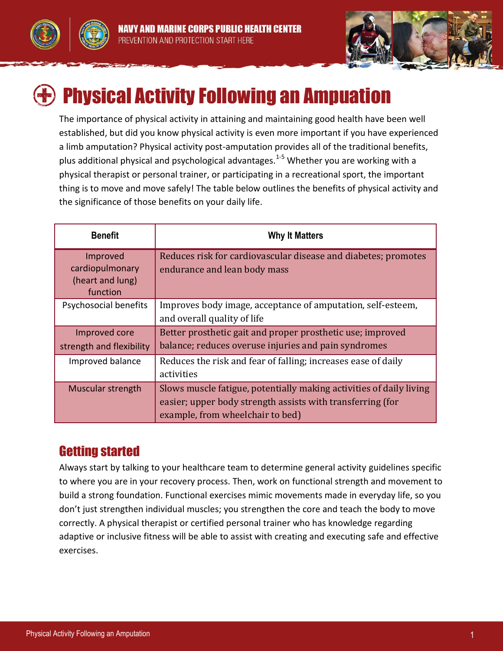





## Physical Activity Following an Ampuation

The importance of physical activity in attaining and maintaining good health have been well established, but did you know physical activity is even more important if you have experienced a limb amputation? Physical activity post-amputation provides all of the traditional benefits, plus additional physical and psychological advantages.<sup>1-5</sup> Whether you are working with a physical therapist or personal trainer, or participating in a recreational sport, the important thing is to move and move safely! The table below outlines the benefits of physical activity and the significance of those benefits on your daily life.

| <b>Benefit</b>                                              | <b>Why It Matters</b>                                                                                                                                                 |
|-------------------------------------------------------------|-----------------------------------------------------------------------------------------------------------------------------------------------------------------------|
| Improved<br>cardiopulmonary<br>(heart and lung)<br>function | Reduces risk for cardiovascular disease and diabetes; promotes<br>endurance and lean body mass                                                                        |
| Psychosocial benefits                                       | Improves body image, acceptance of amputation, self-esteem,<br>and overall quality of life                                                                            |
| Improved core<br>strength and flexibility                   | Better prosthetic gait and proper prosthetic use; improved<br>balance; reduces overuse injuries and pain syndromes                                                    |
| Improved balance                                            | Reduces the risk and fear of falling; increases ease of daily<br>activities                                                                                           |
| Muscular strength                                           | Slows muscle fatigue, potentially making activities of daily living<br>easier; upper body strength assists with transferring (for<br>example, from wheelchair to bed) |

## Getting started

Always start by talking to your healthcare team to determine general activity guidelines specific to where you are in your recovery process. Then, work on functional strength and movement to build a strong foundation. Functional exercises mimic movements made in everyday life, so you don't just strengthen individual muscles; you strengthen the core and teach the body to move correctly. A physical therapist or certified personal trainer who has knowledge regarding adaptive or inclusive fitness will be able to assist with creating and executing safe and effective exercises.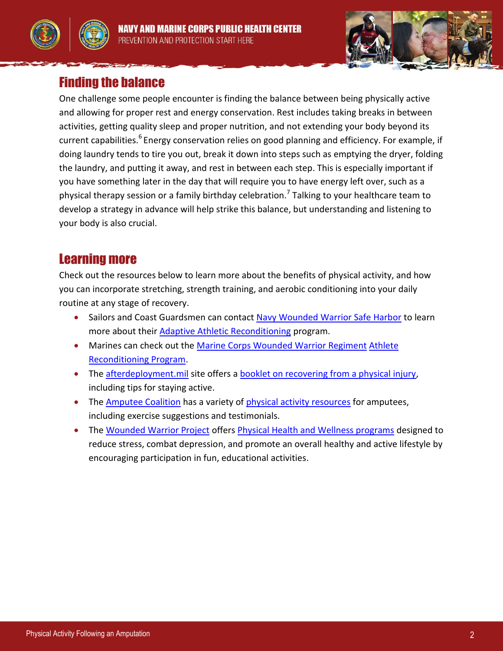





One challenge some people encounter is finding the balance between being physically active and allowing for proper rest and energy conservation. Rest includes taking breaks in between activities, getting quality sleep and proper nutrition, and not extending your body beyond its current capabilities.<sup>6</sup> Energy conservation relies on good planning and efficiency. For example, if doing laundry tends to tire you out, break it down into steps such as emptying the dryer, folding the laundry, and putting it away, and rest in between each step. This is especially important if you have something later in the day that will require you to have energy left over, such as a physical therapy session or a family birthday celebration.<sup>7</sup> Talking to your healthcare team to develop a strategy in advance will help strike this balance, but understanding and listening to your body is also crucial.

## Learning more

Check out the resources below to learn more about the benefits of physical activity, and how you can incorporate stretching, strength training, and aerobic conditioning into your daily routine at any stage of recovery.

- Sailors and Coast Guardsmen can contact [Navy Wounded Warrior Safe Harbor](http://safeharbor.navylive.dodlive.mil/) to learn more about their [Adaptive Athletic Reconditioning](http://safeharbor.navylive.dodlive.mil/files/2013/05/NWW-AA-Fact-Sheet1.pdf) program.
- Marines can check out the [Marine Corps Wounded Warrior Regiment](http://www.woundedwarriorregiment.org/) [Athlete](http://www.woundedwarriorregiment.org/wwr/assets/File/FactSheets/Warrior_Athlete_Reconditioning_Program_Slick_Sheet.pdf)  [Reconditioning Program.](http://www.woundedwarriorregiment.org/wwr/assets/File/FactSheets/Warrior_Athlete_Reconditioning_Program_Slick_Sheet.pdf)
- The [afterdeployment.mil](http://afterdeployment.t2.health.mil/) site offers a [booklet on recovering from a physical injury,](http://afterdeployment.t2.health.mil/sites/default/files/library/physical-injury/index.html) including tips for staying active.
- The [Amputee Coalition](http://www.amputee-coalition.org/) has a variety of [physical activity resources](http://www.amputee-coalition.org/limb-loss-resource-center/resources-by-topic/physical-activity/index.html) for amputees, including exercise suggestions and testimonials.
- The [Wounded Warrior Project](http://www.woundedwarriorproject.org/) offers [Physical Health and Wellness programs](http://www.woundedwarriorproject.org/programs/physical-health-wellness.aspx) designed to reduce stress, combat depression, and promote an overall healthy and active lifestyle by encouraging participation in fun, educational activities.